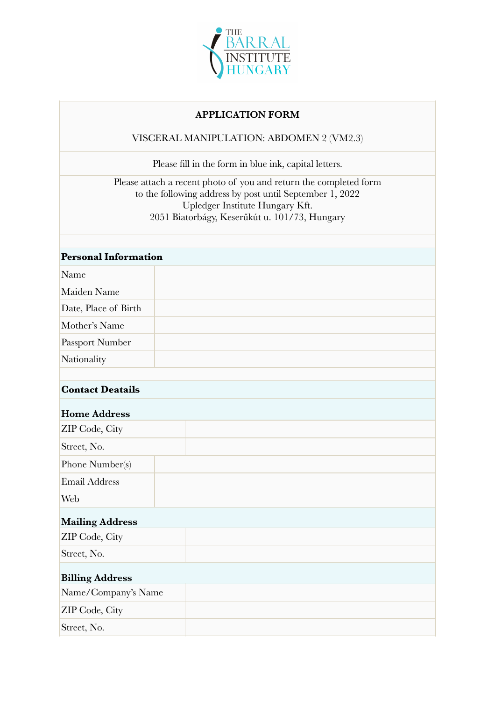

## **APPLICATION FORM**

## VISCERAL MANIPULATION: ABDOMEN 2 (VM2.3)

Please fill in the form in blue ink, capital letters.

Please attach a recent photo of you and return the completed form to the following address by post until September 1, 2022 Upledger Institute Hungary Kft. 2051 Biatorbágy, Keserűkút u. 101/73, Hungary

| <b>Personal Information</b> |  |  |
|-----------------------------|--|--|
| Name                        |  |  |
| Maiden Name                 |  |  |
| Date, Place of Birth        |  |  |
| Mother's Name               |  |  |
| Passport Number             |  |  |
| Nationality                 |  |  |
|                             |  |  |
| <b>Contact Deatails</b>     |  |  |
| <b>Home Address</b>         |  |  |
| ZIP Code, City              |  |  |
| Street, No.                 |  |  |
| Phone Number(s)             |  |  |
| <b>Email Address</b>        |  |  |
| Web                         |  |  |
| <b>Mailing Address</b>      |  |  |
| ZIP Code, City              |  |  |
| Street, No.                 |  |  |
| <b>Billing Address</b>      |  |  |
| Name/Company's Name         |  |  |
| ZIP Code, City              |  |  |
| Street, No.                 |  |  |